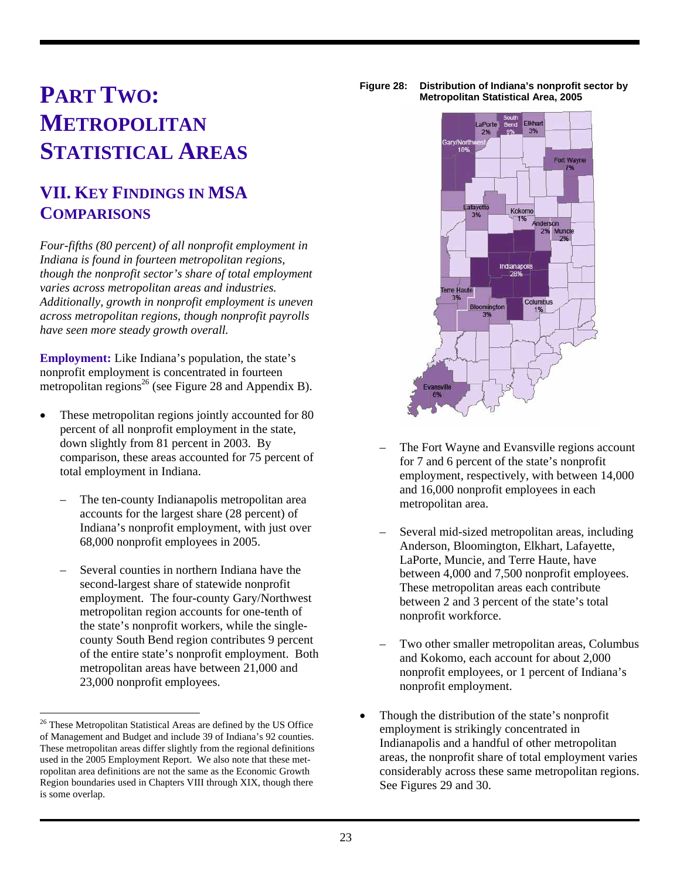## **PART TWO: METROPOLITAN STATISTICAL AREAS**

## **VII. KEY FINDINGS IN MSA COMPARISONS**

*Four-fifths (80 percent) of all nonprofit employment in Indiana is found in fourteen metropolitan regions, though the nonprofit sector's share of total employment varies across metropolitan areas and industries. Additionally, growth in nonprofit employment is uneven across metropolitan regions, though nonprofit payrolls have seen more steady growth overall.* 

**Employment:** Like Indiana's population, the state's nonprofit employment is concentrated in fourteen metropolitan regions<sup>26</sup> (see Figure 28 and Appendix B).

- These metropolitan regions jointly accounted for 80 percent of all nonprofit employment in the state, down slightly from 81 percent in 2003. By comparison, these areas accounted for 75 percent of total employment in Indiana.
	- The ten-county Indianapolis metropolitan area accounts for the largest share (28 percent) of Indiana's nonprofit employment, with just over 68,000 nonprofit employees in 2005.
	- Several counties in northern Indiana have the second-largest share of statewide nonprofit employment. The four-county Gary/Northwest metropolitan region accounts for one-tenth of the state's nonprofit workers, while the singlecounty South Bend region contributes 9 percent of the entire state's nonprofit employment. Both metropolitan areas have between 21,000 and 23,000 nonprofit employees.





- The Fort Wayne and Evansville regions account for 7 and 6 percent of the state's nonprofit employment, respectively, with between 14,000 and 16,000 nonprofit employees in each metropolitan area.
- Several mid-sized metropolitan areas, including Anderson, Bloomington, Elkhart, Lafayette, LaPorte, Muncie, and Terre Haute, have between 4,000 and 7,500 nonprofit employees. These metropolitan areas each contribute between 2 and 3 percent of the state's total nonprofit workforce.
- Two other smaller metropolitan areas, Columbus and Kokomo, each account for about 2,000 nonprofit employees, or 1 percent of Indiana's nonprofit employment.
- Though the distribution of the state's nonprofit employment is strikingly concentrated in Indianapolis and a handful of other metropolitan areas, the nonprofit share of total employment varies considerably across these same metropolitan regions. See Figures 29 and 30.

<sup>&</sup>lt;sup>26</sup> These Metropolitan Statistical Areas are defined by the US Office of Management and Budget and include 39 of Indiana's 92 counties. These metropolitan areas differ slightly from the regional definitions used in the 2005 Employment Report. We also note that these metropolitan area definitions are not the same as the Economic Growth Region boundaries used in Chapters VIII through XIX, though there is some overlap.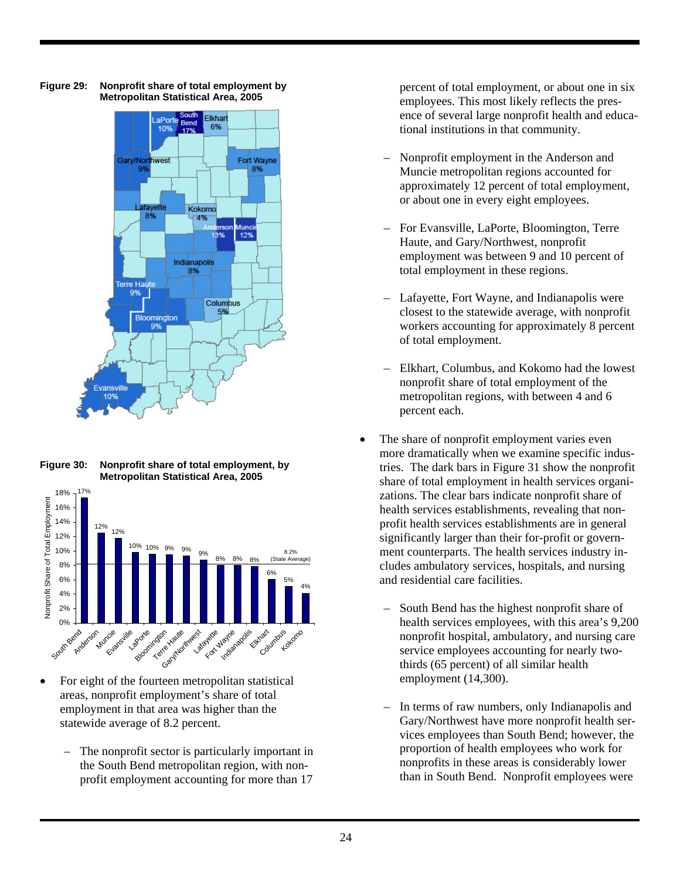

**Figure 29: Nonprofit share of total employment by Metropolitan Statistical Area, 2005** 

**Figure 30: Nonprofit share of total employment, by Metropolitan Statistical Area, 2005** 



- For eight of the fourteen metropolitan statistical areas, nonprofit employment's share of total employment in that area was higher than the statewide average of 8.2 percent.
	- The nonprofit sector is particularly important in the South Bend metropolitan region, with nonprofit employment accounting for more than 17

percent of total employment, or about one in six employees. This most likely reflects the presence of several large nonprofit health and educational institutions in that community.

- Nonprofit employment in the Anderson and Muncie metropolitan regions accounted for approximately 12 percent of total employment, or about one in every eight employees.
- For Evansville, LaPorte, Bloomington, Terre Haute, and Gary/Northwest, nonprofit employment was between 9 and 10 percent of total employment in these regions.
- Lafayette, Fort Wayne, and Indianapolis were closest to the statewide average, with nonprofit workers accounting for approximately 8 percent of total employment.
- Elkhart, Columbus, and Kokomo had the lowest nonprofit share of total employment of the metropolitan regions, with between 4 and 6 percent each.
- The share of nonprofit employment varies even more dramatically when we examine specific industries. The dark bars in Figure 31 show the nonprofit share of total employment in health services organizations. The clear bars indicate nonprofit share of health services establishments, revealing that nonprofit health services establishments are in general significantly larger than their for-profit or government counterparts. The health services industry includes ambulatory services, hospitals, and nursing and residential care facilities.
	- South Bend has the highest nonprofit share of health services employees, with this area's 9,200 nonprofit hospital, ambulatory, and nursing care service employees accounting for nearly twothirds (65 percent) of all similar health employment (14,300).
	- In terms of raw numbers, only Indianapolis and Gary/Northwest have more nonprofit health services employees than South Bend; however, the proportion of health employees who work for nonprofits in these areas is considerably lower than in South Bend. Nonprofit employees were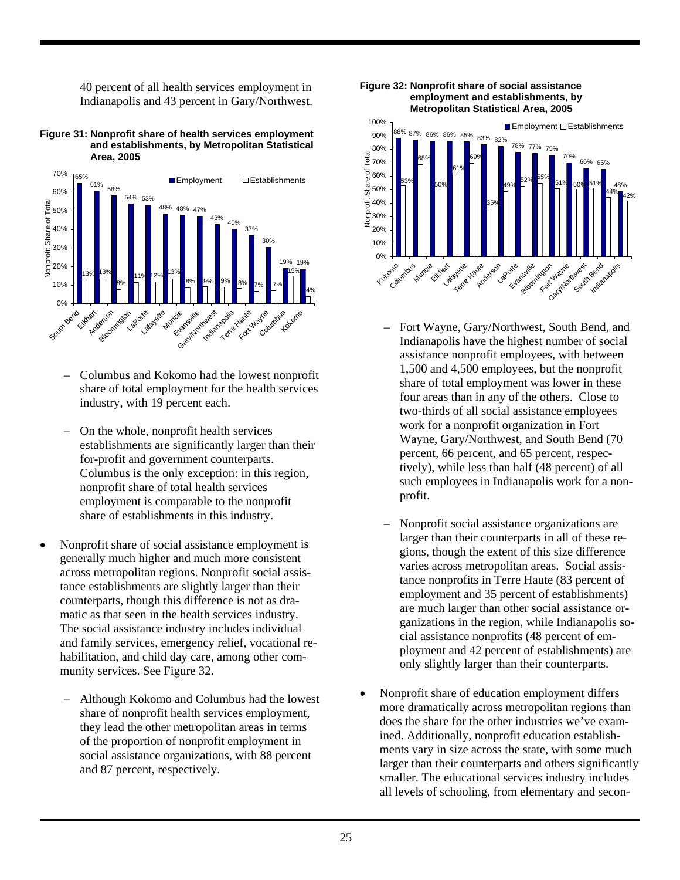40 percent of all health services employment in Indianapolis and 43 percent in Gary/Northwest.

**Figure 31: Nonprofit share of health services employment and establishments, by Metropolitan Statistical Area, 2005** 



- Columbus and Kokomo had the lowest nonprofit share of total employment for the health services industry, with 19 percent each.
- On the whole, nonprofit health services establishments are significantly larger than their for-profit and government counterparts. Columbus is the only exception: in this region, nonprofit share of total health services employment is comparable to the nonprofit share of establishments in this industry.
- Nonprofit share of social assistance employment is generally much higher and much more consistent across metropolitan regions. Nonprofit social assistance establishments are slightly larger than their counterparts, though this difference is not as dramatic as that seen in the health services industry. The social assistance industry includes individual and family services, emergency relief, vocational rehabilitation, and child day care, among other community services. See Figure 32.
	- Although Kokomo and Columbus had the lowest share of nonprofit health services employment, they lead the other metropolitan areas in terms of the proportion of nonprofit employment in social assistance organizations, with 88 percent and 87 percent, respectively.





- Fort Wayne, Gary/Northwest, South Bend, and Indianapolis have the highest number of social assistance nonprofit employees, with between 1,500 and 4,500 employees, but the nonprofit share of total employment was lower in these four areas than in any of the others. Close to two-thirds of all social assistance employees work for a nonprofit organization in Fort Wayne, Gary/Northwest, and South Bend (70 percent, 66 percent, and 65 percent, respectively), while less than half (48 percent) of all such employees in Indianapolis work for a nonprofit.
- Nonprofit social assistance organizations are larger than their counterparts in all of these regions, though the extent of this size difference varies across metropolitan areas. Social assistance nonprofits in Terre Haute (83 percent of employment and 35 percent of establishments) are much larger than other social assistance organizations in the region, while Indianapolis social assistance nonprofits (48 percent of employment and 42 percent of establishments) are only slightly larger than their counterparts.
- Nonprofit share of education employment differs more dramatically across metropolitan regions than does the share for the other industries we've examined. Additionally, nonprofit education establishments vary in size across the state, with some much larger than their counterparts and others significantly smaller. The educational services industry includes all levels of schooling, from elementary and secon-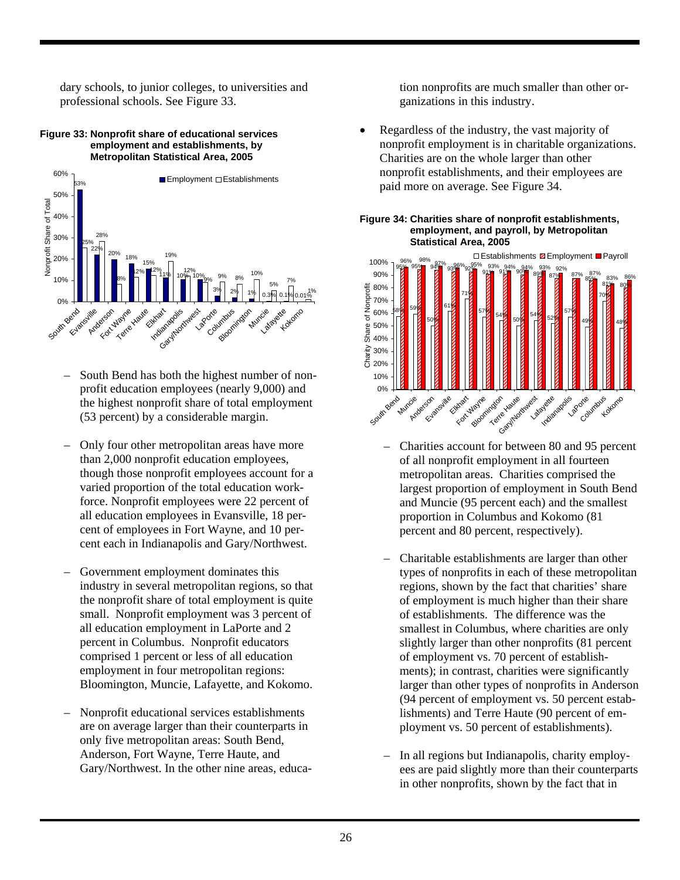dary schools, to junior colleges, to universities and professional schools. See Figure 33.

## **Figure 33: Nonprofit share of educational services employment and establishments, by Metropolitan Statistical Area, 2005**



- South Bend has both the highest number of nonprofit education employees (nearly 9,000) and the highest nonprofit share of total employment (53 percent) by a considerable margin.
- Only four other metropolitan areas have more than 2,000 nonprofit education employees, though those nonprofit employees account for a varied proportion of the total education workforce. Nonprofit employees were 22 percent of all education employees in Evansville, 18 percent of employees in Fort Wayne, and 10 percent each in Indianapolis and Gary/Northwest.
- Government employment dominates this industry in several metropolitan regions, so that the nonprofit share of total employment is quite small. Nonprofit employment was 3 percent of all education employment in LaPorte and 2 percent in Columbus. Nonprofit educators comprised 1 percent or less of all education employment in four metropolitan regions: Bloomington, Muncie, Lafayette, and Kokomo.
- Nonprofit educational services establishments are on average larger than their counterparts in only five metropolitan areas: South Bend, Anderson, Fort Wayne, Terre Haute, and Gary/Northwest. In the other nine areas, educa-

tion nonprofits are much smaller than other organizations in this industry.

• Regardless of the industry, the vast majority of nonprofit employment is in charitable organizations. Charities are on the whole larger than other nonprofit establishments, and their employees are paid more on average. See Figure 34.





- Charities account for between 80 and 95 percent of all nonprofit employment in all fourteen metropolitan areas. Charities comprised the largest proportion of employment in South Bend and Muncie (95 percent each) and the smallest proportion in Columbus and Kokomo (81 percent and 80 percent, respectively).
- Charitable establishments are larger than other types of nonprofits in each of these metropolitan regions, shown by the fact that charities' share of employment is much higher than their share of establishments. The difference was the smallest in Columbus, where charities are only slightly larger than other nonprofits (81 percent of employment vs. 70 percent of establishments); in contrast, charities were significantly larger than other types of nonprofits in Anderson (94 percent of employment vs. 50 percent establishments) and Terre Haute (90 percent of employment vs. 50 percent of establishments).
- In all regions but Indianapolis, charity employees are paid slightly more than their counterparts in other nonprofits, shown by the fact that in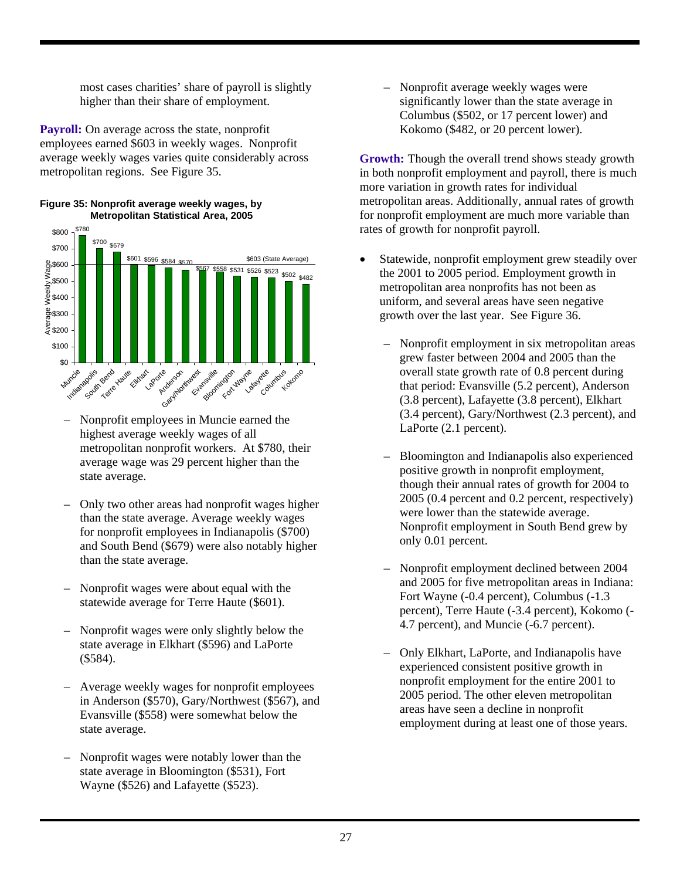most cases charities' share of payroll is slightly higher than their share of employment.

**Payroll:** On average across the state, nonprofit employees earned \$603 in weekly wages. Nonprofit average weekly wages varies quite considerably across metropolitan regions. See Figure 35.





- Nonprofit employees in Muncie earned the highest average weekly wages of all metropolitan nonprofit workers. At \$780, their average wage was 29 percent higher than the state average.
- Only two other areas had nonprofit wages higher than the state average. Average weekly wages for nonprofit employees in Indianapolis (\$700) and South Bend (\$679) were also notably higher than the state average.
- Nonprofit wages were about equal with the statewide average for Terre Haute (\$601).
- Nonprofit wages were only slightly below the state average in Elkhart (\$596) and LaPorte (\$584).
- Average weekly wages for nonprofit employees in Anderson (\$570), Gary/Northwest (\$567), and Evansville (\$558) were somewhat below the state average.
- Nonprofit wages were notably lower than the state average in Bloomington (\$531), Fort Wayne (\$526) and Lafayette (\$523).

– Nonprofit average weekly wages were significantly lower than the state average in Columbus (\$502, or 17 percent lower) and Kokomo (\$482, or 20 percent lower).

**Growth:** Though the overall trend shows steady growth in both nonprofit employment and payroll, there is much more variation in growth rates for individual metropolitan areas. Additionally, annual rates of growth for nonprofit employment are much more variable than rates of growth for nonprofit payroll.

- Statewide, nonprofit employment grew steadily over the 2001 to 2005 period. Employment growth in metropolitan area nonprofits has not been as uniform, and several areas have seen negative growth over the last year. See Figure 36.
	- Nonprofit employment in six metropolitan areas grew faster between 2004 and 2005 than the overall state growth rate of 0.8 percent during that period: Evansville (5.2 percent), Anderson (3.8 percent), Lafayette (3.8 percent), Elkhart (3.4 percent), Gary/Northwest (2.3 percent), and LaPorte (2.1 percent).
	- Bloomington and Indianapolis also experienced positive growth in nonprofit employment, though their annual rates of growth for 2004 to 2005 (0.4 percent and 0.2 percent, respectively) were lower than the statewide average. Nonprofit employment in South Bend grew by only 0.01 percent.
	- Nonprofit employment declined between 2004 and 2005 for five metropolitan areas in Indiana: Fort Wayne (-0.4 percent), Columbus (-1.3 percent), Terre Haute (-3.4 percent), Kokomo (- 4.7 percent), and Muncie (-6.7 percent).
	- Only Elkhart, LaPorte, and Indianapolis have experienced consistent positive growth in nonprofit employment for the entire 2001 to 2005 period. The other eleven metropolitan areas have seen a decline in nonprofit employment during at least one of those years.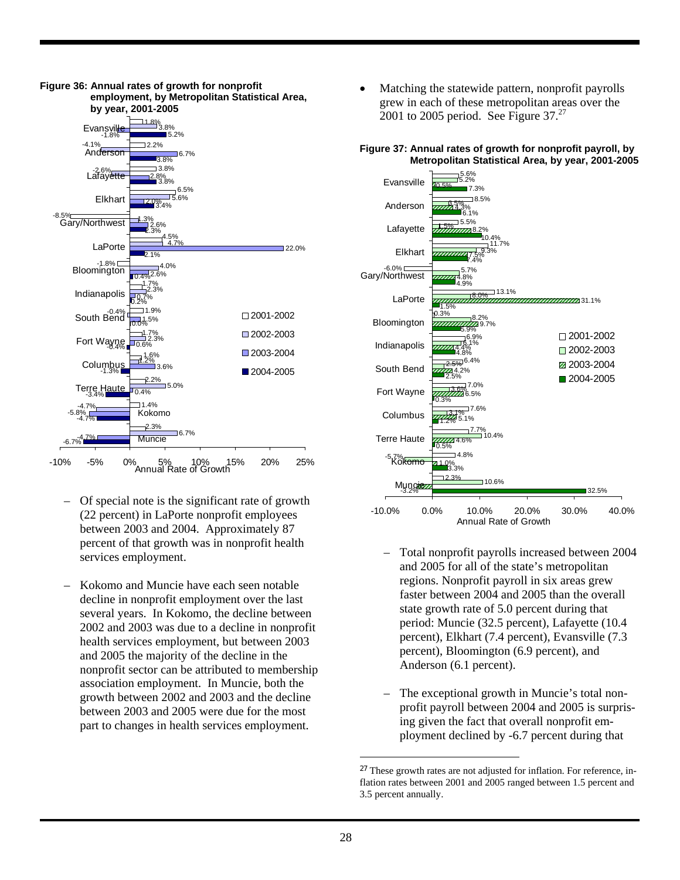

- Of special note is the significant rate of growth (22 percent) in LaPorte nonprofit employees between 2003 and 2004. Approximately 87 percent of that growth was in nonprofit health services employment.
- Kokomo and Muncie have each seen notable decline in nonprofit employment over the last several years. In Kokomo, the decline between 2002 and 2003 was due to a decline in nonprofit health services employment, but between 2003 and 2005 the majority of the decline in the nonprofit sector can be attributed to membership association employment. In Muncie, both the growth between 2002 and 2003 and the decline between 2003 and 2005 were due for the most part to changes in health services employment.

• Matching the statewide pattern, nonprofit payrolls grew in each of these metropolitan areas over the 2001 to 2005 period. See Figure  $37.^{27}$ 



**Figure 37: Annual rates of growth for nonprofit payroll, by Metropolitan Statistical Area, by year, 2001-2005** 

- Total nonprofit payrolls increased between 2004 and 2005 for all of the state's metropolitan regions. Nonprofit payroll in six areas grew faster between 2004 and 2005 than the overall state growth rate of 5.0 percent during that period: Muncie (32.5 percent), Lafayette (10.4 percent), Elkhart (7.4 percent), Evansville (7.3 percent), Bloomington (6.9 percent), and Anderson (6.1 percent).
- The exceptional growth in Muncie's total nonprofit payroll between 2004 and 2005 is surprising given the fact that overall nonprofit employment declined by -6.7 percent during that

<sup>27</sup> These growth rates are not adjusted for inflation. For reference, inflation rates between 2001 and 2005 ranged between 1.5 percent and 3.5 percent annually.